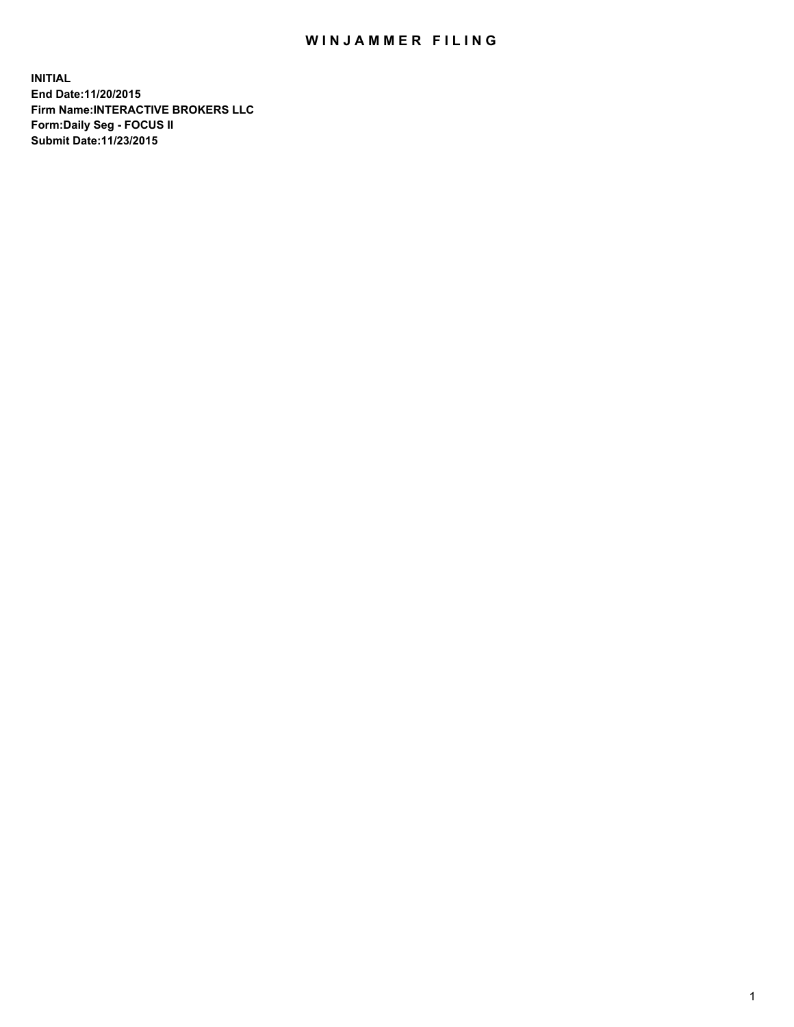## WIN JAMMER FILING

**INITIAL End Date:11/20/2015 Firm Name:INTERACTIVE BROKERS LLC Form:Daily Seg - FOCUS II Submit Date:11/23/2015**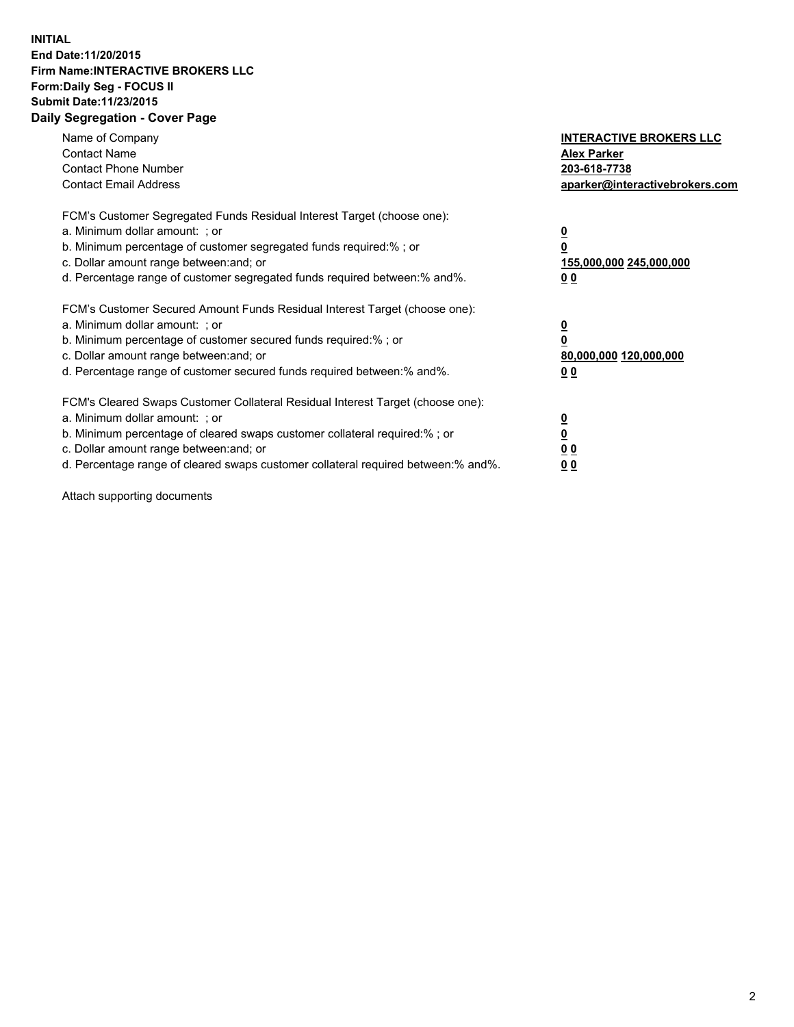## **INITIAL End Date:11/20/2015 Firm Name:INTERACTIVE BROKERS LLC Form:Daily Seg - FOCUS II Submit Date:11/23/2015 Daily Segregation - Cover Page**

| Name of Company<br><b>Contact Name</b><br><b>Contact Phone Number</b><br><b>Contact Email Address</b>                                                                                                                                                                                                                         | <b>INTERACTIVE BROKERS LLC</b><br><b>Alex Parker</b><br>203-618-7738<br>aparker@interactivebrokers.com |
|-------------------------------------------------------------------------------------------------------------------------------------------------------------------------------------------------------------------------------------------------------------------------------------------------------------------------------|--------------------------------------------------------------------------------------------------------|
| FCM's Customer Segregated Funds Residual Interest Target (choose one):<br>a. Minimum dollar amount: ; or<br>b. Minimum percentage of customer segregated funds required:% ; or<br>c. Dollar amount range between: and; or<br>d. Percentage range of customer segregated funds required between:% and%.                        | <u>0</u><br><u>155,000,000 245,000,000</u><br>00                                                       |
| FCM's Customer Secured Amount Funds Residual Interest Target (choose one):<br>a. Minimum dollar amount: ; or<br>b. Minimum percentage of customer secured funds required:% ; or<br>c. Dollar amount range between: and; or<br>d. Percentage range of customer secured funds required between: % and %.                        | $\overline{\mathbf{0}}$<br>80,000,000 120,000,000<br>00                                                |
| FCM's Cleared Swaps Customer Collateral Residual Interest Target (choose one):<br>a. Minimum dollar amount: ; or<br>b. Minimum percentage of cleared swaps customer collateral required:%; or<br>c. Dollar amount range between: and; or<br>d. Percentage range of cleared swaps customer collateral required between:% and%. | <u>0</u><br>0 <sub>0</sub><br><u>00</u>                                                                |

Attach supporting documents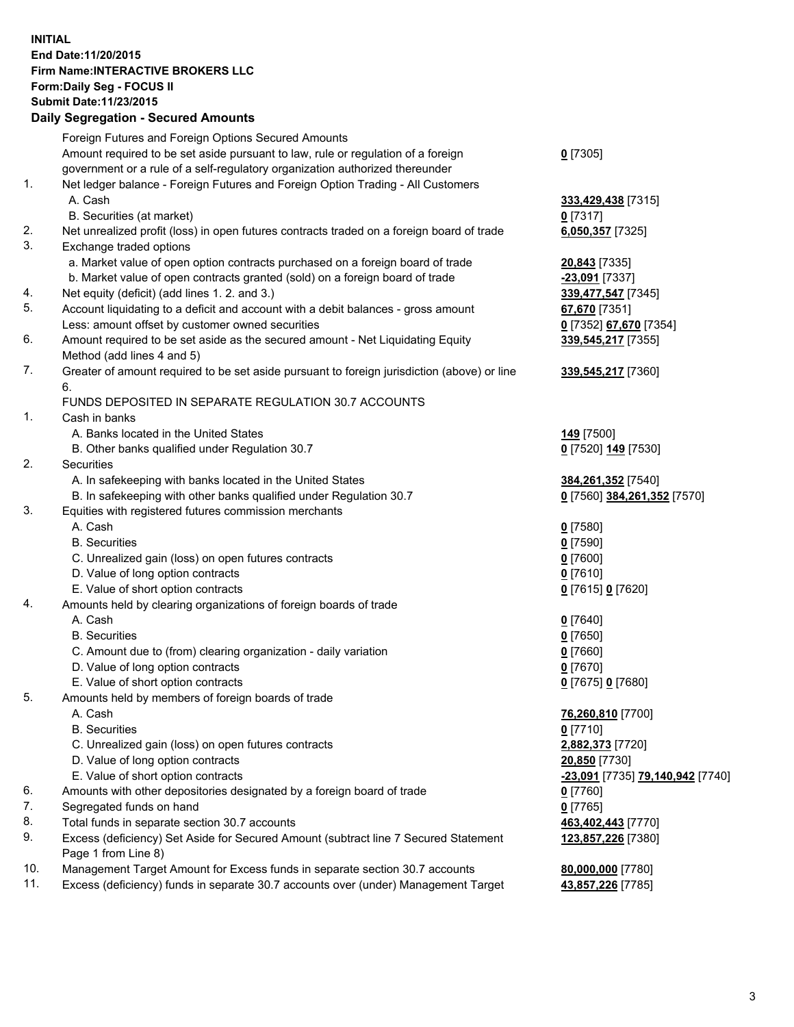## **INITIAL End Date:11/20/2015 Firm Name:INTERACTIVE BROKERS LLC Form:Daily Seg - FOCUS II Submit Date:11/23/2015 Daily Segregation - Secured Amounts**

|     | Daily Jegiegation - Jeculeu Alliounts                                                       |                                  |
|-----|---------------------------------------------------------------------------------------------|----------------------------------|
|     | Foreign Futures and Foreign Options Secured Amounts                                         |                                  |
|     | Amount required to be set aside pursuant to law, rule or regulation of a foreign            | $0$ [7305]                       |
|     | government or a rule of a self-regulatory organization authorized thereunder                |                                  |
| 1.  | Net ledger balance - Foreign Futures and Foreign Option Trading - All Customers             |                                  |
|     | A. Cash                                                                                     | 333,429,438 [7315]               |
|     | B. Securities (at market)                                                                   | $0$ [7317]                       |
| 2.  | Net unrealized profit (loss) in open futures contracts traded on a foreign board of trade   | 6,050,357 [7325]                 |
| 3.  | Exchange traded options                                                                     |                                  |
|     | a. Market value of open option contracts purchased on a foreign board of trade              | 20,843 [7335]                    |
|     | b. Market value of open contracts granted (sold) on a foreign board of trade                | -23,091 [7337]                   |
| 4.  | Net equity (deficit) (add lines 1. 2. and 3.)                                               | 339,477,547 [7345]               |
| 5.  | Account liquidating to a deficit and account with a debit balances - gross amount           | 67,670 [7351]                    |
|     |                                                                                             |                                  |
| 6.  | Less: amount offset by customer owned securities                                            | 0 [7352] 67,670 [7354]           |
|     | Amount required to be set aside as the secured amount - Net Liquidating Equity              | 339,545,217 [7355]               |
|     | Method (add lines 4 and 5)                                                                  |                                  |
| 7.  | Greater of amount required to be set aside pursuant to foreign jurisdiction (above) or line | 339,545,217 [7360]               |
|     | 6.                                                                                          |                                  |
|     | FUNDS DEPOSITED IN SEPARATE REGULATION 30.7 ACCOUNTS                                        |                                  |
| 1.  | Cash in banks                                                                               |                                  |
|     | A. Banks located in the United States                                                       | <b>149</b> [7500]                |
|     | B. Other banks qualified under Regulation 30.7                                              | 0 [7520] 149 [7530]              |
| 2.  | Securities                                                                                  |                                  |
|     | A. In safekeeping with banks located in the United States                                   | 384,261,352 [7540]               |
|     | B. In safekeeping with other banks qualified under Regulation 30.7                          | 0 [7560] 384,261,352 [7570]      |
| 3.  | Equities with registered futures commission merchants                                       |                                  |
|     | A. Cash                                                                                     | $0$ [7580]                       |
|     | <b>B.</b> Securities                                                                        | $0$ [7590]                       |
|     | C. Unrealized gain (loss) on open futures contracts                                         | $0$ [7600]                       |
|     | D. Value of long option contracts                                                           | $0$ [7610]                       |
|     | E. Value of short option contracts                                                          | 0 [7615] 0 [7620]                |
| 4.  | Amounts held by clearing organizations of foreign boards of trade                           |                                  |
|     | A. Cash                                                                                     | $0$ [7640]                       |
|     | <b>B.</b> Securities                                                                        | $0$ [7650]                       |
|     | C. Amount due to (from) clearing organization - daily variation                             | $0$ [7660]                       |
|     | D. Value of long option contracts                                                           | $0$ [7670]                       |
|     | E. Value of short option contracts                                                          | 0 [7675] 0 [7680]                |
| 5.  | Amounts held by members of foreign boards of trade                                          |                                  |
|     | A. Cash                                                                                     | 76,260,810 [7700]                |
|     | <b>B.</b> Securities                                                                        | $0$ [7710]                       |
|     | C. Unrealized gain (loss) on open futures contracts                                         | 2,882,373 [7720]                 |
|     | D. Value of long option contracts                                                           | 20,850 [7730]                    |
|     | E. Value of short option contracts                                                          | -23,091 [7735] 79,140,942 [7740] |
| 6.  | Amounts with other depositories designated by a foreign board of trade                      | 0 [7760]                         |
| 7.  | Segregated funds on hand                                                                    | $0$ [7765]                       |
| 8.  | Total funds in separate section 30.7 accounts                                               | 463,402,443 [7770]               |
| 9.  | Excess (deficiency) Set Aside for Secured Amount (subtract line 7 Secured Statement         | 123,857,226 [7380]               |
|     | Page 1 from Line 8)                                                                         |                                  |
| 10. | Management Target Amount for Excess funds in separate section 30.7 accounts                 | 80,000,000 [7780]                |
| 11. | Excess (deficiency) funds in separate 30.7 accounts over (under) Management Target          | 43,857,226 [7785]                |
|     |                                                                                             |                                  |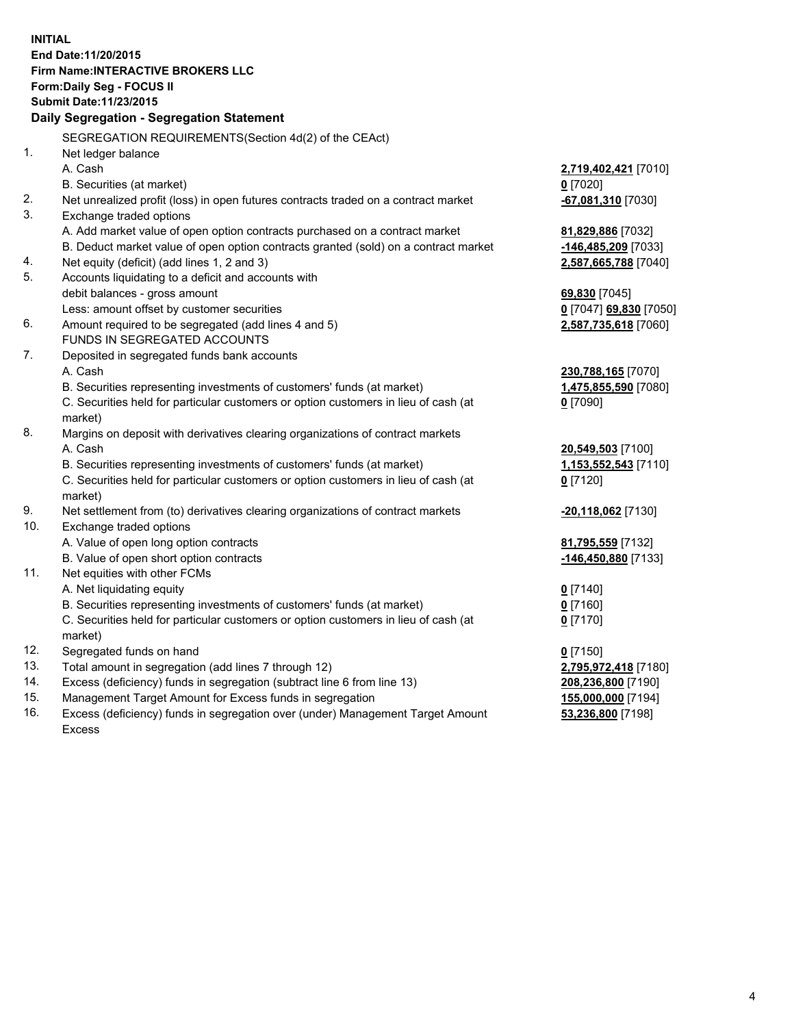**INITIAL End Date:11/20/2015 Firm Name:INTERACTIVE BROKERS LLC Form:Daily Seg - FOCUS II Submit Date:11/23/2015 Daily Segregation - Segregation Statement** SEGREGATION REQUIREMENTS(Section 4d(2) of the CEAct) 1. Net ledger balance A. Cash **2,719,402,421** [7010] B. Securities (at market) **0** [7020] 2. Net unrealized profit (loss) in open futures contracts traded on a contract market **-67,081,310** [7030] 3. Exchange traded options A. Add market value of open option contracts purchased on a contract market **81,829,886** [7032] B. Deduct market value of open option contracts granted (sold) on a contract market **-146,485,209** [7033] 4. Net equity (deficit) (add lines 1, 2 and 3) **2,587,665,788** [7040] 5. Accounts liquidating to a deficit and accounts with debit balances - gross amount **69,830** [7045] Less: amount offset by customer securities **0** [7047] **69,830** [7050] 6. Amount required to be segregated (add lines 4 and 5) **2,587,735,618** [7060] FUNDS IN SEGREGATED ACCOUNTS 7. Deposited in segregated funds bank accounts A. Cash **230,788,165** [7070] B. Securities representing investments of customers' funds (at market) **1,475,855,590** [7080] C. Securities held for particular customers or option customers in lieu of cash (at market) **0** [7090] 8. Margins on deposit with derivatives clearing organizations of contract markets A. Cash **20,549,503** [7100] B. Securities representing investments of customers' funds (at market) **1,153,552,543** [7110] C. Securities held for particular customers or option customers in lieu of cash (at market) **0** [7120] 9. Net settlement from (to) derivatives clearing organizations of contract markets **-20,118,062** [7130] 10. Exchange traded options A. Value of open long option contracts **81,795,559** [7132] B. Value of open short option contracts **-146,450,880** [7133] 11. Net equities with other FCMs A. Net liquidating equity **0** [7140] B. Securities representing investments of customers' funds (at market) **0** [7160] C. Securities held for particular customers or option customers in lieu of cash (at market) **0** [7170] 12. Segregated funds on hand **0** [7150] 13. Total amount in segregation (add lines 7 through 12) **2,795,972,418** [7180] 14. Excess (deficiency) funds in segregation (subtract line 6 from line 13) **208,236,800** [7190] 15. Management Target Amount for Excess funds in segregation **155,000,000** [7194]

16. Excess (deficiency) funds in segregation over (under) Management Target Amount Excess

**53,236,800** [7198]